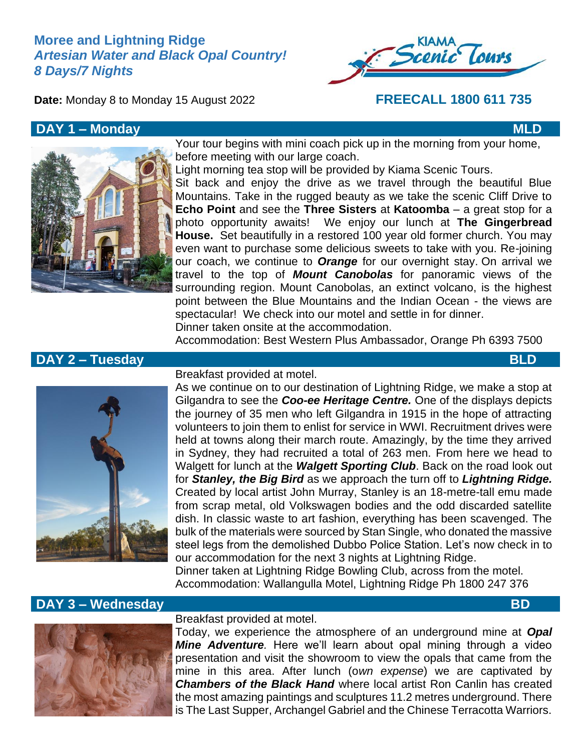# **Moree and Lightning Ridge** *Artesian Water and Black Opal Country! 8 Days/7 Nights*



**Date:** Monday 8 to Monday 15 August 2022 **FREECALL 1800 611 735**

## **DAY 1 – Monday MLD**



Your tour begins with mini coach pick up in the morning from your home, before meeting with our large coach.

Light morning tea stop will be provided by Kiama Scenic Tours. Sit back and enjoy the drive as we travel through the beautiful Blue Mountains. Take in the rugged beauty as we take the scenic Cliff Drive to **Echo Point** and see the **Three Sisters** at **Katoomba** – a great stop for a photo opportunity awaits! We enjoy our lunch at **The Gingerbread House.** Set beautifully in a restored 100 year old former church. You may even want to purchase some delicious sweets to take with you. Re-joining our coach, we continue to *Orange* for our overnight stay. On arrival we travel to the top of *Mount Canobolas* for panoramic views of the surrounding region. Mount Canobolas, an extinct volcano, is the highest point between the Blue Mountains and the Indian Ocean - the views are spectacular! We check into our motel and settle in for dinner. Dinner taken onsite at the accommodation.

Accommodation: Best Western Plus Ambassador, Orange Ph 6393 7500

# **DAY 2 – Tuesday BLD**



### Breakfast provided at motel.

As we continue on to our destination of Lightning Ridge, we make a stop at Gilgandra to see the *Coo-ee Heritage Centre.* One of the displays depicts the journey of 35 men who left Gilgandra in 1915 in the hope of attracting volunteers to join them to enlist for service in WWI. Recruitment drives were held at towns along their march route. Amazingly, by the time they arrived in Sydney, they had recruited a total of 263 men. From here we head to Walgett for lunch at the *Walgett Sporting Club*. Back on the road look out for *Stanley, the Big Bird* as we approach the turn off to *Lightning Ridge.*  Created by local artist John Murray, Stanley is an 18-metre-tall emu made from scrap metal, old Volkswagen bodies and the odd discarded satellite dish. In classic waste to art fashion, everything has been scavenged. The bulk of the materials were sourced by Stan Single, who donated the massive steel legs from the demolished Dubbo Police Station. Let's now check in to our accommodation for the next 3 nights at Lightning Ridge. Dinner taken at Lightning Ridge Bowling Club, across from the motel. Accommodation: Wallangulla Motel, Lightning Ridge Ph 1800 247 376

# **DAY 3 – Wednesday BD**



## Breakfast provided at motel.

Today, we experience the atmosphere of an underground mine at *Opal Mine Adventure.* Here we'll learn about opal mining through a video presentation and visit the showroom to view the opals that came from the mine in this area. After lunch (o*wn expense*) we are captivated by *Chambers of the Black Hand* where local artist Ron Canlin has created the most amazing paintings and sculptures 11.2 metres underground. There is The Last Supper, Archangel Gabriel and the Chinese Terracotta Warriors.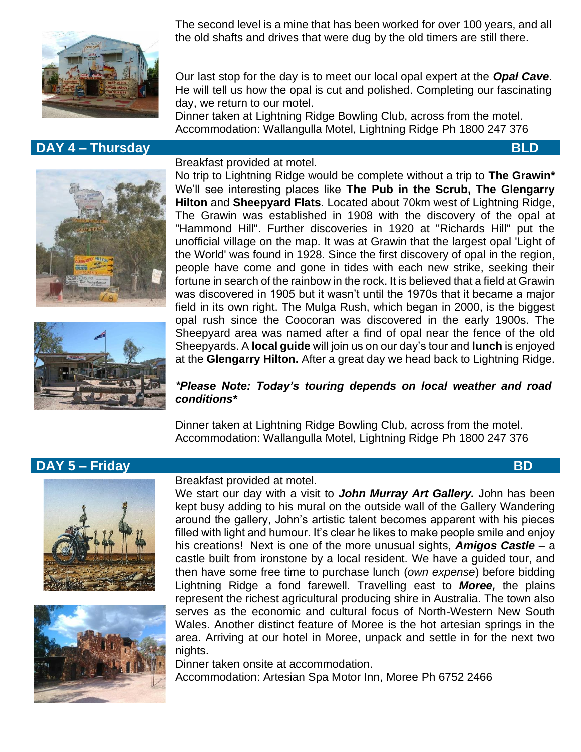

# **DAY 4 – Thursday BLD**

The second level is a mine that has been worked for over 100 years, and all the old shafts and drives that were dug by the old timers are still there.

Our last stop for the day is to meet our local opal expert at the *Opal Cave*. He will tell us how the opal is cut and polished. Completing our fascinating day, we return to our motel.

Dinner taken at Lightning Ridge Bowling Club, across from the motel. Accommodation: Wallangulla Motel, Lightning Ridge Ph 1800 247 376





#### Breakfast provided at motel.

No trip to Lightning Ridge would be complete without a trip to **The Grawin\*** We'll see interesting places like **The Pub in the Scrub, The Glengarry Hilton** and **Sheepyard Flats**. Located about 70km west of Lightning Ridge, The Grawin was established in 1908 with the discovery of the opal at "Hammond Hill". Further discoveries in 1920 at "Richards Hill" put the unofficial village on the map. It was at Grawin that the largest opal 'Light of the World' was found in 1928. Since the first discovery of opal in the region, people have come and gone in tides with each new strike, seeking their fortune in search of the rainbow in the rock. It is believed that a field at Grawin was discovered in 1905 but it wasn't until the 1970s that it became a major field in its own right. The Mulga Rush, which began in 2000, is the biggest opal rush since the Coocoran was discovered in the early 1900s. The Sheepyard area was named after a find of opal near the fence of the old Sheepyards. A **local guide** will join us on our day's tour and **lunch** is enjoyed at the **Glengarry Hilton.** After a great day we head back to Lightning Ridge.

### *\*Please Note: Today's touring depends on local weather and road conditions\**

Dinner taken at Lightning Ridge Bowling Club, across from the motel. Accommodation: Wallangulla Motel, Lightning Ridge Ph 1800 247 376

# **DAY 5 – Friday BD**





#### Breakfast provided at motel.

We start our day with a visit to *John Murray Art Gallery.* John has been kept busy adding to his mural on the outside wall of the Gallery Wandering around the gallery, John's artistic talent becomes apparent with his pieces filled with light and humour. It's clear he likes to make people smile and enjoy his creations! Next is one of the more unusual sights, *Amigos Castle* – a castle built from ironstone by a local resident. We have a guided tour, and then have some free time to purchase lunch (*own expense*) before bidding Lightning Ridge a fond farewell. Travelling east to *Moree,* the plains represent the richest agricultural producing shire in Australia. The town also serves as the economic and cultural focus of North-Western New South Wales. Another distinct feature of Moree is the hot artesian springs in the area. Arriving at our hotel in Moree, unpack and settle in for the next two nights.

Dinner taken onsite at accommodation. Accommodation: Artesian Spa Motor Inn, Moree Ph 6752 2466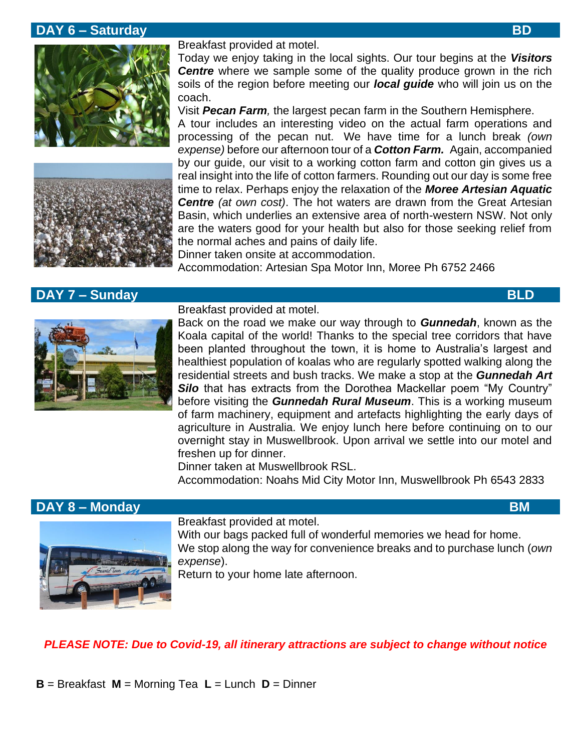## **DAY 6 – Saturday BD**





# **DAY 7 – Sunday BLD**

Breakfast provided at motel.

Today we enjoy taking in the local sights. Our tour begins at the *Visitors*  **Centre** where we sample some of the quality produce grown in the rich soils of the region before meeting our *local guide* who will join us on the coach.

Visit *Pecan Farm,* the largest pecan farm in the Southern Hemisphere.

A tour includes an interesting video on the actual farm operations and processing of the pecan nut. We have time for a lunch break *(own expense)* before our afternoon tour of a *Cotton Farm.* Again, accompanied by our guide, our visit to a working cotton farm and cotton gin gives us a real insight into the life of cotton farmers. Rounding out our day is some free time to relax. Perhaps enjoy the relaxation of the *Moree Artesian Aquatic Centre (at own cost)*. The hot waters are drawn from the Great Artesian Basin, which underlies an extensive area of north-western NSW. Not only are the waters good for your health but also for those seeking relief from the normal aches and pains of daily life.

Dinner taken onsite at accommodation.

Accommodation: Artesian Spa Motor Inn, Moree Ph 6752 2466

Breakfast provided at motel. Back on the road we make our way through to *Gunnedah*, known as the Koala capital of the world! Thanks to the special tree corridors that have been planted throughout the town, it is home to Australia's largest and healthiest population of koalas who are regularly spotted walking along the residential streets and bush tracks. We make a stop at the *Gunnedah Art*  **Silo** that has extracts from the Dorothea Mackellar poem "My Country" before visiting the *Gunnedah Rural Museum*. This is a working museum of farm machinery, equipment and artefacts highlighting the early days of agriculture in Australia. We enjoy lunch here before continuing on to our overnight stay in Muswellbrook. Upon arrival we settle into our motel and freshen up for dinner.

Dinner taken at Muswellbrook RSL.

Accommodation: Noahs Mid City Motor Inn, Muswellbrook Ph 6543 2833

## **DAY 8 – Monday BM**



Breakfast provided at motel.

With our bags packed full of wonderful memories we head for home. We stop along the way for convenience breaks and to purchase lunch (*own expense*).

Return to your home late afternoon.

### *PLEASE NOTE: Due to Covid-19, all itinerary attractions are subject to change without notice*

**B** = Breakfast **M** = Morning Tea **L** = Lunch **D** = Dinner